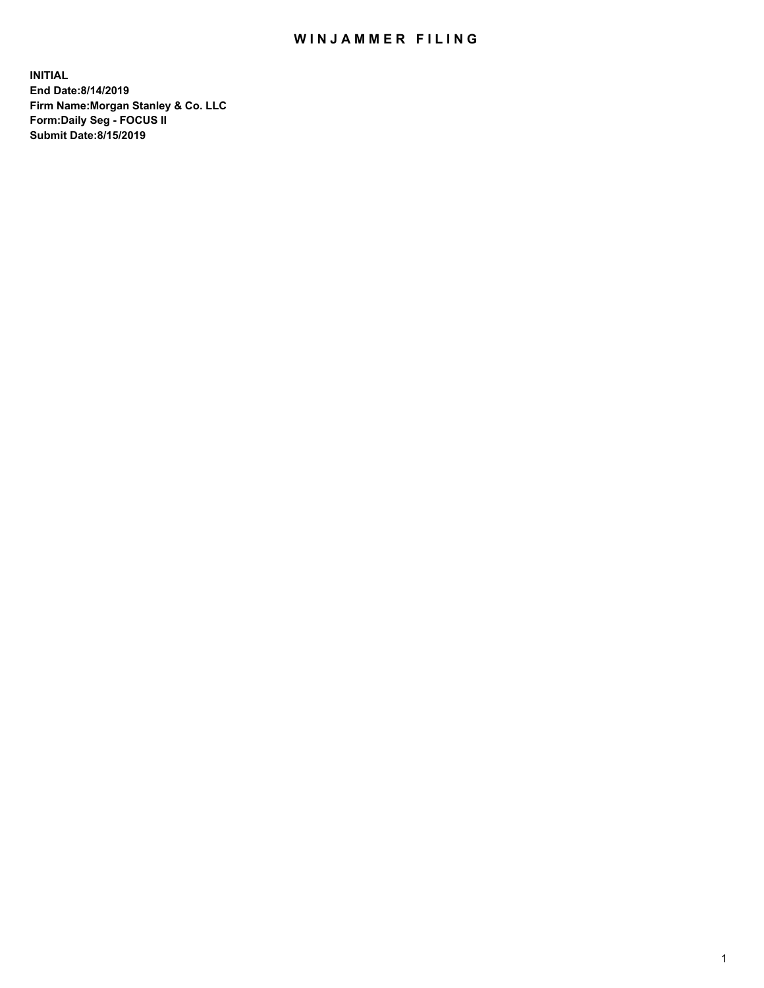## WIN JAMMER FILING

**INITIAL End Date:8/14/2019 Firm Name:Morgan Stanley & Co. LLC Form:Daily Seg - FOCUS II Submit Date:8/15/2019**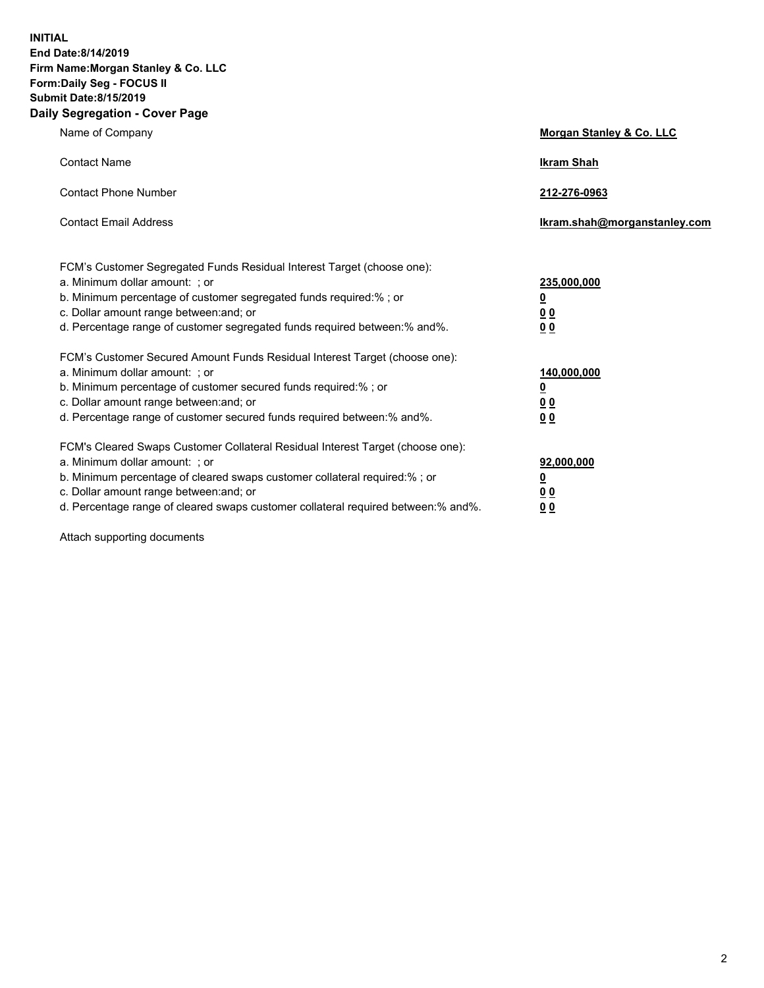**INITIAL End Date:8/14/2019 Firm Name:Morgan Stanley & Co. LLC Form:Daily Seg - FOCUS II Submit Date:8/15/2019 Daily Segregation - Cover Page**

| Name of Company                                                                   | Morgan Stanley & Co. LLC     |  |
|-----------------------------------------------------------------------------------|------------------------------|--|
| <b>Contact Name</b>                                                               | <b>Ikram Shah</b>            |  |
| <b>Contact Phone Number</b>                                                       | 212-276-0963                 |  |
| <b>Contact Email Address</b>                                                      | Ikram.shah@morganstanley.com |  |
| FCM's Customer Segregated Funds Residual Interest Target (choose one):            |                              |  |
| a. Minimum dollar amount: ; or                                                    | 235,000,000                  |  |
| b. Minimum percentage of customer segregated funds required:% ; or                | <u>0</u>                     |  |
| c. Dollar amount range between: and; or                                           | <u>0 0</u>                   |  |
| d. Percentage range of customer segregated funds required between: % and %.       | 00                           |  |
| FCM's Customer Secured Amount Funds Residual Interest Target (choose one):        |                              |  |
| a. Minimum dollar amount: ; or                                                    | 140,000,000                  |  |
| b. Minimum percentage of customer secured funds required:%; or                    | <u>0</u>                     |  |
| c. Dollar amount range between: and; or                                           | 0 <sub>0</sub>               |  |
| d. Percentage range of customer secured funds required between:% and%.            | 0 <sub>0</sub>               |  |
| FCM's Cleared Swaps Customer Collateral Residual Interest Target (choose one):    |                              |  |
| a. Minimum dollar amount: ; or                                                    | 92,000,000                   |  |
| b. Minimum percentage of cleared swaps customer collateral required:% ; or        | <u>0</u>                     |  |
| c. Dollar amount range between: and; or                                           | 0 Q                          |  |
| d. Percentage range of cleared swaps customer collateral required between:% and%. | 00                           |  |

Attach supporting documents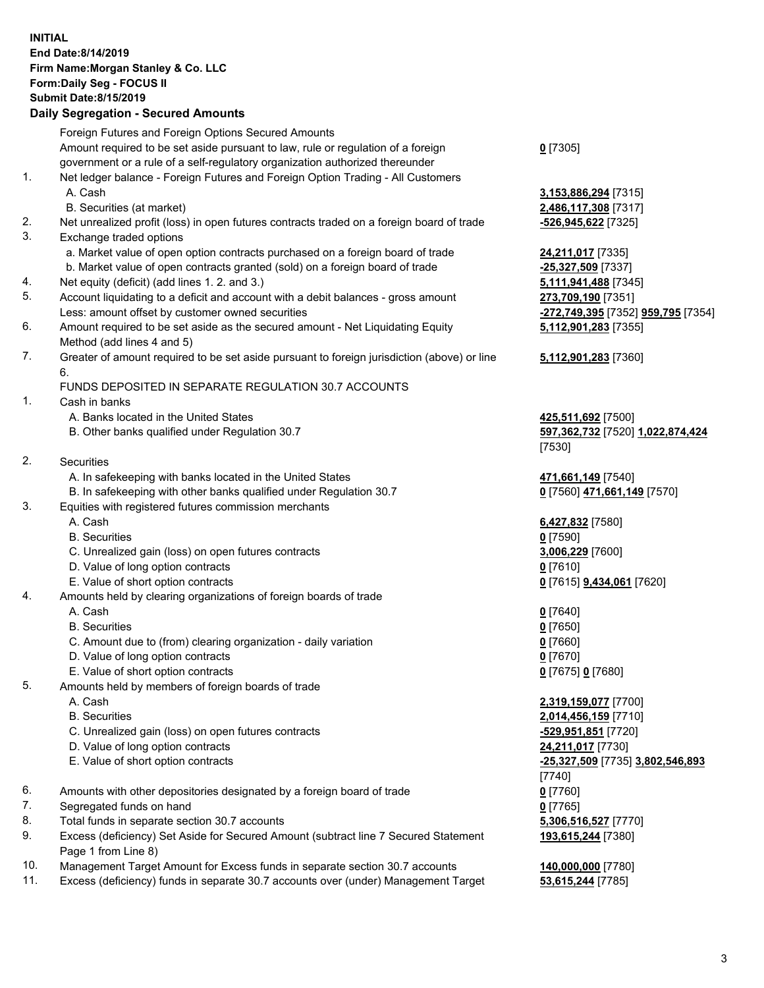## **INITIAL End Date:8/14/2019 Firm Name:Morgan Stanley & Co. LLC Form:Daily Seg - FOCUS II Submit Date:8/15/2019 Daily Segregation - Secured Amounts**

Foreign Futures and Foreign Options Secured Amounts Amount required to be set aside pursuant to law, rule or regulation of a foreign government or a rule of a self-regulatory organization authorized thereunder 1. Net ledger balance - Foreign Futures and Foreign Option Trading - All Customers A. Cash **3,153,886,294** [7315] B. Securities (at market) **2,486,117,308** [7317] 2. Net unrealized profit (loss) in open futures contracts traded on a foreign board of trade **-526,945,622** [7325] 3. Exchange traded options a. Market value of open option contracts purchased on a foreign board of trade **24,211,017** [7335] b. Market value of open contracts granted (sold) on a foreign board of trade **-25,327,509** [7337] 4. Net equity (deficit) (add lines 1. 2. and 3.) **5,111,941,488** [7345] 5. Account liquidating to a deficit and account with a debit balances - gross amount **273,709,190** [7351] Less: amount offset by customer owned securities **-272,749,395** [7352] **959,795** [7354] 6. Amount required to be set aside as the secured amount - Net Liquidating Equity Method (add lines 4 and 5) 7. Greater of amount required to be set aside pursuant to foreign jurisdiction (above) or line 6. FUNDS DEPOSITED IN SEPARATE REGULATION 30.7 ACCOUNTS 1. Cash in banks A. Banks located in the United States **425,511,692** [7500] B. Other banks qualified under Regulation 30.7 **597,362,732** [7520] **1,022,874,424** 2. Securities A. In safekeeping with banks located in the United States **471,661,149** [7540] B. In safekeeping with other banks qualified under Regulation 30.7 **0** [7560] **471,661,149** [7570] 3. Equities with registered futures commission merchants A. Cash **6,427,832** [7580] B. Securities **0** [7590] C. Unrealized gain (loss) on open futures contracts **3,006,229** [7600] D. Value of long option contracts **0** [7610] E. Value of short option contracts **0** [7615] **9,434,061** [7620] 4. Amounts held by clearing organizations of foreign boards of trade A. Cash **0** [7640] B. Securities **0** [7650] C. Amount due to (from) clearing organization - daily variation **0** [7660] D. Value of long option contracts **0** [7670] E. Value of short option contracts **0** [7675] **0** [7680] 5. Amounts held by members of foreign boards of trade A. Cash **2,319,159,077** [7700] B. Securities **2,014,456,159** [7710] C. Unrealized gain (loss) on open futures contracts **-529,951,851** [7720] D. Value of long option contracts **24,211,017** [7730] E. Value of short option contracts **-25,327,509** [7735] **3,802,546,893** [7740] 6. Amounts with other depositories designated by a foreign board of trade **0** [7760] 7. Segregated funds on hand **0** [7765]

- 
- 8. Total funds in separate section 30.7 accounts **5,306,516,527** [7770]

9. Excess (deficiency) Set Aside for Secured Amount (subtract line 7 Secured Statement Page 1 from Line 8)

- 10. Management Target Amount for Excess funds in separate section 30.7 accounts **140,000,000** [7780]
- 11. Excess (deficiency) funds in separate 30.7 accounts over (under) Management Target **53,615,244** [7785]

**0** [7305]

**5,112,901,283** [7355] **5,112,901,283** [7360] [7530]

**193,615,244** [7380]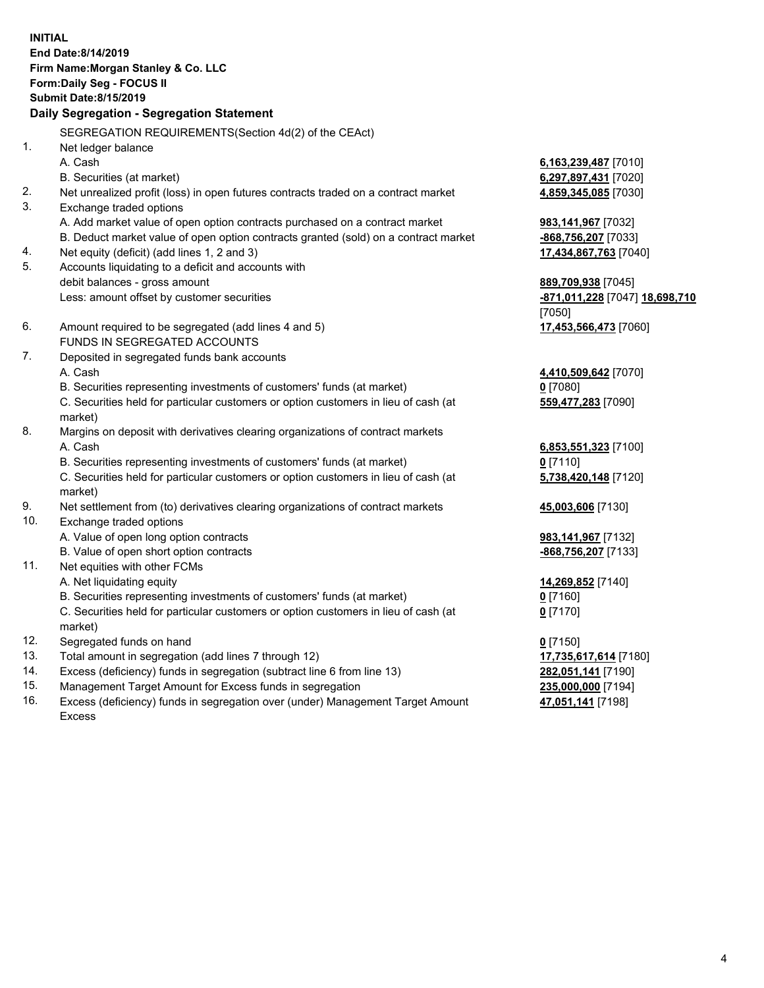**INITIAL End Date:8/14/2019 Firm Name:Morgan Stanley & Co. LLC Form:Daily Seg - FOCUS II Submit Date:8/15/2019 Daily Segregation - Segregation Statement** SEGREGATION REQUIREMENTS(Section 4d(2) of the CEAct) 1. Net ledger balance A. Cash **6,163,239,487** [7010] B. Securities (at market) **6,297,897,431** [7020] 2. Net unrealized profit (loss) in open futures contracts traded on a contract market **4,859,345,085** [7030] 3. Exchange traded options A. Add market value of open option contracts purchased on a contract market **983,141,967** [7032] B. Deduct market value of open option contracts granted (sold) on a contract market **-868,756,207** [7033] 4. Net equity (deficit) (add lines 1, 2 and 3) **17,434,867,763** [7040] 5. Accounts liquidating to a deficit and accounts with debit balances - gross amount **889,709,938** [7045] Less: amount offset by customer securities **-871,011,228** [7047] **18,698,710** [7050] 6. Amount required to be segregated (add lines 4 and 5) **17,453,566,473** [7060] FUNDS IN SEGREGATED ACCOUNTS 7. Deposited in segregated funds bank accounts A. Cash **4,410,509,642** [7070] B. Securities representing investments of customers' funds (at market) **0** [7080] C. Securities held for particular customers or option customers in lieu of cash (at market) **559,477,283** [7090] 8. Margins on deposit with derivatives clearing organizations of contract markets A. Cash **6,853,551,323** [7100] B. Securities representing investments of customers' funds (at market) **0** [7110] C. Securities held for particular customers or option customers in lieu of cash (at market) **5,738,420,148** [7120] 9. Net settlement from (to) derivatives clearing organizations of contract markets **45,003,606** [7130] 10. Exchange traded options A. Value of open long option contracts **983,141,967** [7132] B. Value of open short option contracts **-868,756,207** [7133] 11. Net equities with other FCMs A. Net liquidating equity **14,269,852** [7140] B. Securities representing investments of customers' funds (at market) **0** [7160] C. Securities held for particular customers or option customers in lieu of cash (at market) **0** [7170] 12. Segregated funds on hand **0** [7150] 13. Total amount in segregation (add lines 7 through 12) **17,735,617,614** [7180] 14. Excess (deficiency) funds in segregation (subtract line 6 from line 13) **282,051,141** [7190]

- 15. Management Target Amount for Excess funds in segregation **235,000,000** [7194]
- 16. Excess (deficiency) funds in segregation over (under) Management Target Amount Excess

**47,051,141** [7198]